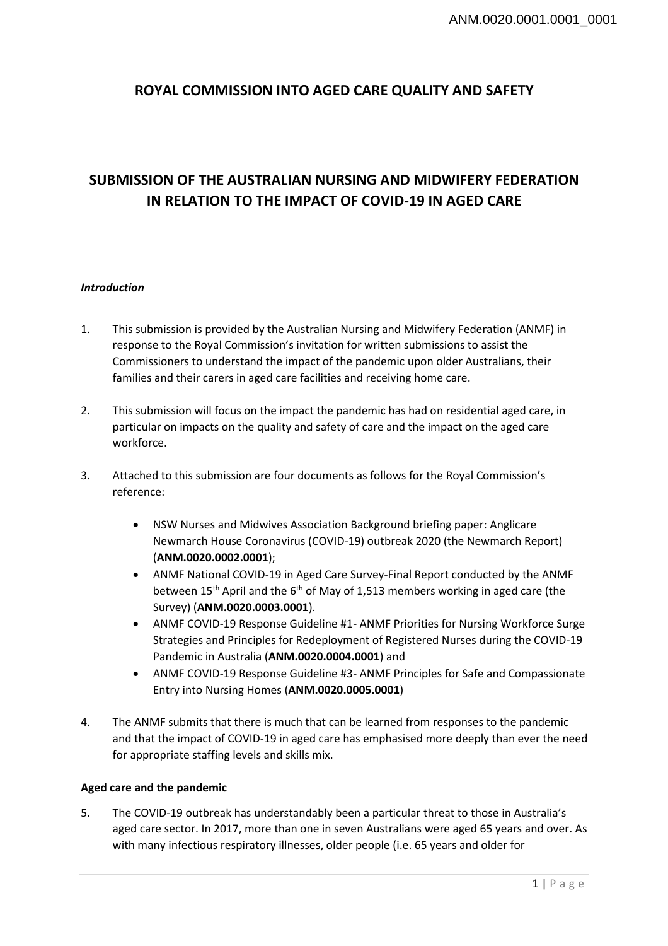# **ROYAL COMMISSION INTO AGED CARE QUALITY AND SAFETY**

# **SUBMISSION OF THE AUSTRALIAN NURSING AND MIDWIFERY FEDERATION IN RELATION TO THE IMPACT OF COVID-19 IN AGED CARE**

# *Introduction*

- 1. This submission is provided by the Australian Nursing and Midwifery Federation (ANMF) in response to the Royal Commission's invitation for written submissions to assist the Commissioners to understand the impact of the pandemic upon older Australians, their families and their carers in aged care facilities and receiving home care.
- 2. This submission will focus on the impact the pandemic has had on residential aged care, in particular on impacts on the quality and safety of care and the impact on the aged care workforce.
- 3. Attached to this submission are four documents as follows for the Royal Commission's reference:
	- NSW Nurses and Midwives Association Background briefing paper: Anglicare Newmarch House Coronavirus (COVID-19) outbreak 2020 (the Newmarch Report) (**ANM.0020.0002.0001**);
	- ANMF National COVID-19 in Aged Care Survey-Final Report conducted by the ANMF between  $15<sup>th</sup>$  April and the  $6<sup>th</sup>$  of May of 1,513 members working in aged care (the Survey) (**ANM.0020.0003.0001**).
	- ANMF COVID-19 Response Guideline #1- ANMF Priorities for Nursing Workforce Surge Strategies and Principles for Redeployment of Registered Nurses during the COVID-19 Pandemic in Australia (**ANM.0020.0004.0001**) and
	- ANMF COVID-19 Response Guideline #3- ANMF Principles for Safe and Compassionate Entry into Nursing Homes (**ANM.0020.0005.0001**)
- 4. The ANMF submits that there is much that can be learned from responses to the pandemic and that the impact of COVID-19 in aged care has emphasised more deeply than ever the need for appropriate staffing levels and skills mix.

# **Aged care and the pandemic**

5. The COVID-19 outbreak has understandably been a particular threat to those in Australia's aged care sector. In 2017, more than one in seven Australians were aged 65 years and over. As with many infectious respiratory illnesses, older people (i.e. 65 years and older for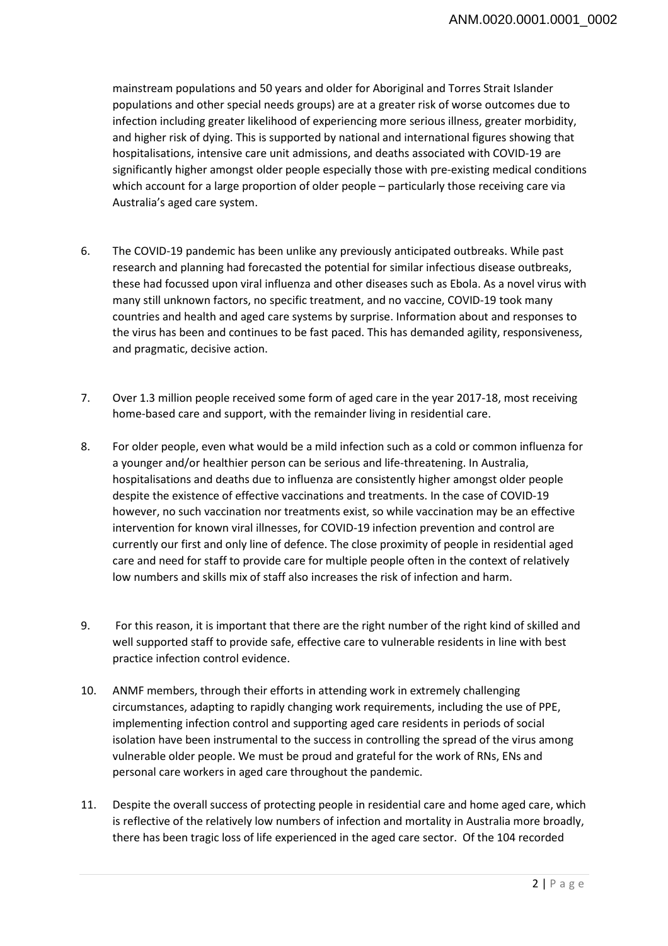mainstream populations and 50 years and older for Aboriginal and Torres Strait Islander populations and other special needs groups) are at a greater risk of worse outcomes due to infection including greater likelihood of experiencing more serious illness, greater morbidity, and higher risk of dying. This is supported by national and international figures showing that hospitalisations, intensive care unit admissions, and deaths associated with COVID-19 are significantly higher amongst older people especially those with pre-existing medical conditions which account for a large proportion of older people – particularly those receiving care via Australia's aged care system.

- 6. The COVID-19 pandemic has been unlike any previously anticipated outbreaks. While past research and planning had forecasted the potential for similar infectious disease outbreaks, these had focussed upon viral influenza and other diseases such as Ebola. As a novel virus with many still unknown factors, no specific treatment, and no vaccine, COVID-19 took many countries and health and aged care systems by surprise. Information about and responses to the virus has been and continues to be fast paced. This has demanded agility, responsiveness, and pragmatic, decisive action.
- 7. Over 1.3 million people received some form of aged care in the year 2017-18, most receiving home-based care and support, with the remainder living in residential care.
- 8. For older people, even what would be a mild infection such as a cold or common influenza for a younger and/or healthier person can be serious and life-threatening. In Australia, hospitalisations and deaths due to influenza are consistently higher amongst older people despite the existence of effective vaccinations and treatments. In the case of COVID-19 however, no such vaccination nor treatments exist, so while vaccination may be an effective intervention for known viral illnesses, for COVID-19 infection prevention and control are currently our first and only line of defence. The close proximity of people in residential aged care and need for staff to provide care for multiple people often in the context of relatively low numbers and skills mix of staff also increases the risk of infection and harm.
- 9. For this reason, it is important that there are the right number of the right kind of skilled and well supported staff to provide safe, effective care to vulnerable residents in line with best practice infection control evidence.
- 10. ANMF members, through their efforts in attending work in extremely challenging circumstances, adapting to rapidly changing work requirements, including the use of PPE, implementing infection control and supporting aged care residents in periods of social isolation have been instrumental to the success in controlling the spread of the virus among vulnerable older people. We must be proud and grateful for the work of RNs, ENs and personal care workers in aged care throughout the pandemic.
- 11. Despite the overall success of protecting people in residential care and home aged care, which is reflective of the relatively low numbers of infection and mortality in Australia more broadly, there has been tragic loss of life experienced in the aged care sector. Of the 104 recorded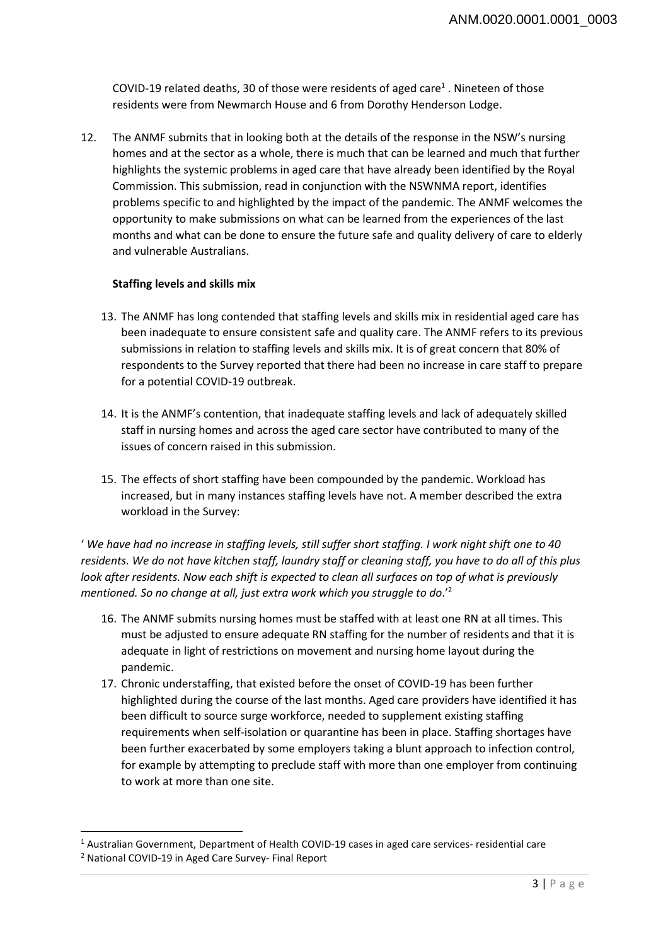COVID-19 related deaths, 30 of those were residents of aged care<sup>1</sup>. Nineteen of those residents were from Newmarch House and 6 from Dorothy Henderson Lodge.

12. The ANMF submits that in looking both at the details of the response in the NSW's nursing homes and at the sector as a whole, there is much that can be learned and much that further highlights the systemic problems in aged care that have already been identified by the Royal Commission. This submission, read in conjunction with the NSWNMA report, identifies problems specific to and highlighted by the impact of the pandemic. The ANMF welcomes the opportunity to make submissions on what can be learned from the experiences of the last months and what can be done to ensure the future safe and quality delivery of care to elderly and vulnerable Australians.

# **Staffing levels and skills mix**

- 13. The ANMF has long contended that staffing levels and skills mix in residential aged care has been inadequate to ensure consistent safe and quality care. The ANMF refers to its previous submissions in relation to staffing levels and skills mix. It is of great concern that 80% of respondents to the Survey reported that there had been no increase in care staff to prepare for a potential COVID-19 outbreak.
- 14. It is the ANMF's contention, that inadequate staffing levels and lack of adequately skilled staff in nursing homes and across the aged care sector have contributed to many of the issues of concern raised in this submission.
- 15. The effects of short staffing have been compounded by the pandemic. Workload has increased, but in many instances staffing levels have not. A member described the extra workload in the Survey:

' *We have had no increase in staffing levels, still suffer short staffing. I work night shift one to 40 residents. We do not have kitchen staff, laundry staff or cleaning staff, you have to do all of this plus look after residents. Now each shift is expected to clean all surfaces on top of what is previously mentioned. So no change at all, just extra work which you struggle to do*.'2

- 16. The ANMF submits nursing homes must be staffed with at least one RN at all times. This must be adjusted to ensure adequate RN staffing for the number of residents and that it is adequate in light of restrictions on movement and nursing home layout during the pandemic.
- 17. Chronic understaffing, that existed before the onset of COVID-19 has been further highlighted during the course of the last months. Aged care providers have identified it has been difficult to source surge workforce, needed to supplement existing staffing requirements when self-isolation or quarantine has been in place. Staffing shortages have been further exacerbated by some employers taking a blunt approach to infection control, for example by attempting to preclude staff with more than one employer from continuing to work at more than one site.

 $\overline{\phantom{a}}$ 

<sup>&</sup>lt;sup>1</sup> Australian Government, Department of Health COVID-19 cases in aged care services- residential care<br><sup>2</sup> National COVID-19 in Aged Care Survey- Einal Benort

<sup>&</sup>lt;sup>2</sup> National COVID-19 in Aged Care Survey- Final Report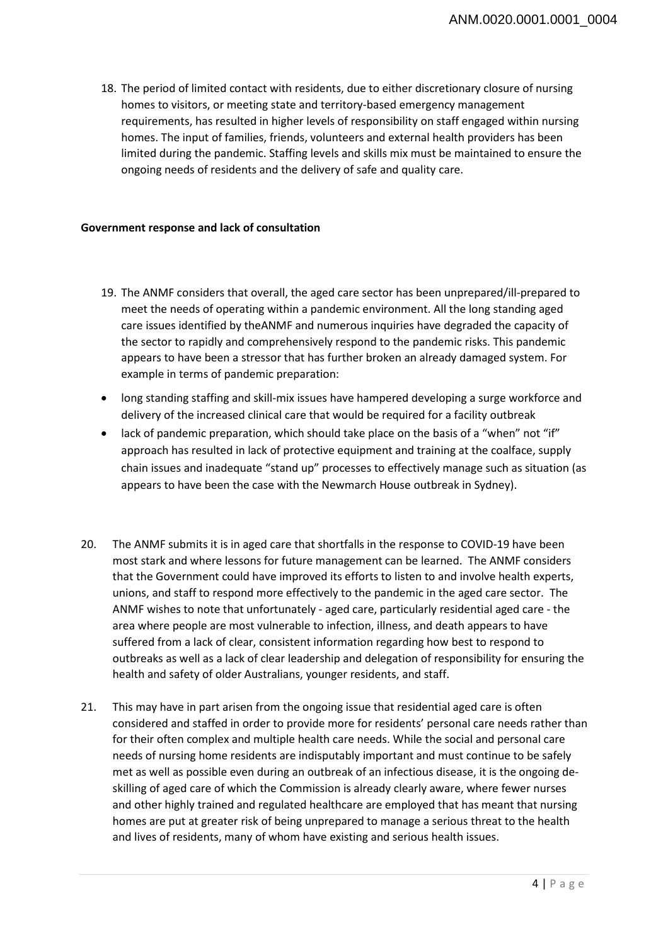18. The period of limited contact with residents, due to either discretionary closure of nursing homes to visitors, or meeting state and territory-based emergency management requirements, has resulted in higher levels of responsibility on staff engaged within nursing homes. The input of families, friends, volunteers and external health providers has been limited during the pandemic. Staffing levels and skills mix must be maintained to ensure the ongoing needs of residents and the delivery of safe and quality care.

#### **Government response and lack of consultation**

- 19. The ANMF considers that overall, the aged care sector has been unprepared/ill-prepared to meet the needs of operating within a pandemic environment. All the long standing aged care issues identified by theANMF and numerous inquiries have degraded the capacity of the sector to rapidly and comprehensively respond to the pandemic risks. This pandemic appears to have been a stressor that has further broken an already damaged system. For example in terms of pandemic preparation:
- long standing staffing and skill-mix issues have hampered developing a surge workforce and delivery of the increased clinical care that would be required for a facility outbreak
- lack of pandemic preparation, which should take place on the basis of a "when" not "if" approach has resulted in lack of protective equipment and training at the coalface, supply chain issues and inadequate "stand up" processes to effectively manage such as situation (as appears to have been the case with the Newmarch House outbreak in Sydney).
- 20. The ANMF submits it is in aged care that shortfalls in the response to COVID-19 have been most stark and where lessons for future management can be learned. The ANMF considers that the Government could have improved its efforts to listen to and involve health experts, unions, and staff to respond more effectively to the pandemic in the aged care sector. The ANMF wishes to note that unfortunately - aged care, particularly residential aged care - the area where people are most vulnerable to infection, illness, and death appears to have suffered from a lack of clear, consistent information regarding how best to respond to outbreaks as well as a lack of clear leadership and delegation of responsibility for ensuring the health and safety of older Australians, younger residents, and staff.
- 21. This may have in part arisen from the ongoing issue that residential aged care is often considered and staffed in order to provide more for residents' personal care needs rather than for their often complex and multiple health care needs. While the social and personal care needs of nursing home residents are indisputably important and must continue to be safely met as well as possible even during an outbreak of an infectious disease, it is the ongoing deskilling of aged care of which the Commission is already clearly aware, where fewer nurses and other highly trained and regulated healthcare are employed that has meant that nursing homes are put at greater risk of being unprepared to manage a serious threat to the health and lives of residents, many of whom have existing and serious health issues.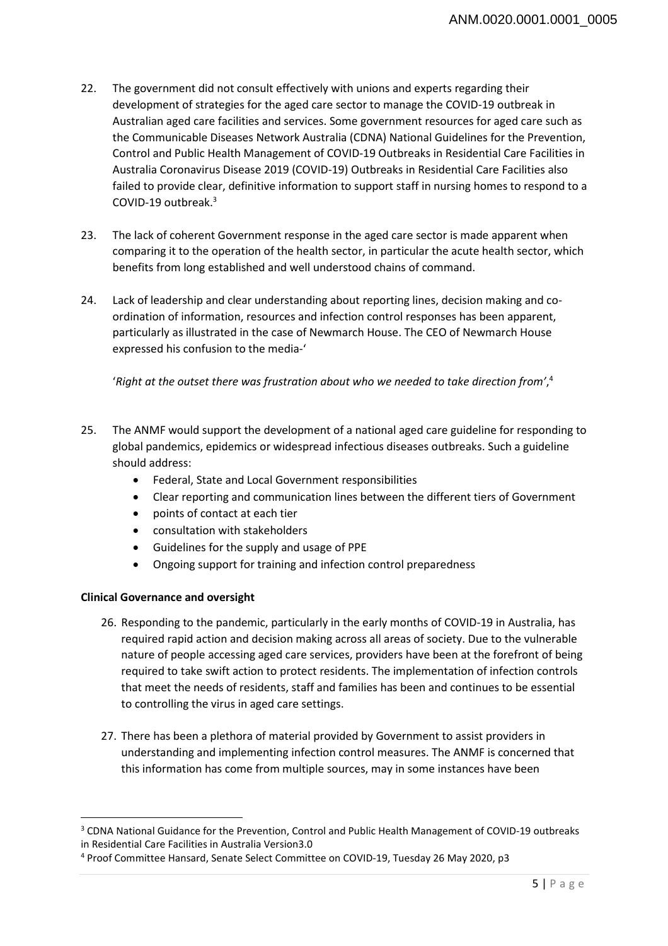- 22. The government did not consult effectively with unions and experts regarding their development of strategies for the aged care sector to manage the COVID-19 outbreak in Australian aged care facilities and services. Some government resources for aged care such as the Communicable Diseases Network Australia (CDNA) National Guidelines for the Prevention, Control and Public Health Management of COVID-19 Outbreaks in Residential Care Facilities in Australia Coronavirus Disease 2019 (COVID-19) Outbreaks in Residential Care Facilities also failed to provide clear, definitive information to support staff in nursing homes to respond to a COVID-19 outbreak.3
- 23. The lack of coherent Government response in the aged care sector is made apparent when comparing it to the operation of the health sector, in particular the acute health sector, which benefits from long established and well understood chains of command.
- 24. Lack of leadership and clear understanding about reporting lines, decision making and coordination of information, resources and infection control responses has been apparent, particularly as illustrated in the case of Newmarch House. The CEO of Newmarch House expressed his confusion to the media-'

'*Right at the outset there was frustration about who we needed to take direction from'*, 4

- 25. The ANMF would support the development of a national aged care guideline for responding to global pandemics, epidemics or widespread infectious diseases outbreaks. Such a guideline should address:
	- Federal, State and Local Government responsibilities
	- Clear reporting and communication lines between the different tiers of Government
	- points of contact at each tier
	- consultation with stakeholders
	- Guidelines for the supply and usage of PPE
	- Ongoing support for training and infection control preparedness

# **Clinical Governance and oversight**

 $\overline{a}$ 

- 26. Responding to the pandemic, particularly in the early months of COVID-19 in Australia, has required rapid action and decision making across all areas of society. Due to the vulnerable nature of people accessing aged care services, providers have been at the forefront of being required to take swift action to protect residents. The implementation of infection controls that meet the needs of residents, staff and families has been and continues to be essential to controlling the virus in aged care settings.
- 27. There has been a plethora of material provided by Government to assist providers in understanding and implementing infection control measures. The ANMF is concerned that this information has come from multiple sources, may in some instances have been

<sup>&</sup>lt;sup>3</sup> CDNA National Guidance for the Prevention, Control and Public Health Management of COVID-19 outbreaks in Residential Care Facilities in Australia Version3.0

<sup>4</sup> Proof Committee Hansard, Senate Select Committee on COVID-19, Tuesday 26 May 2020, p3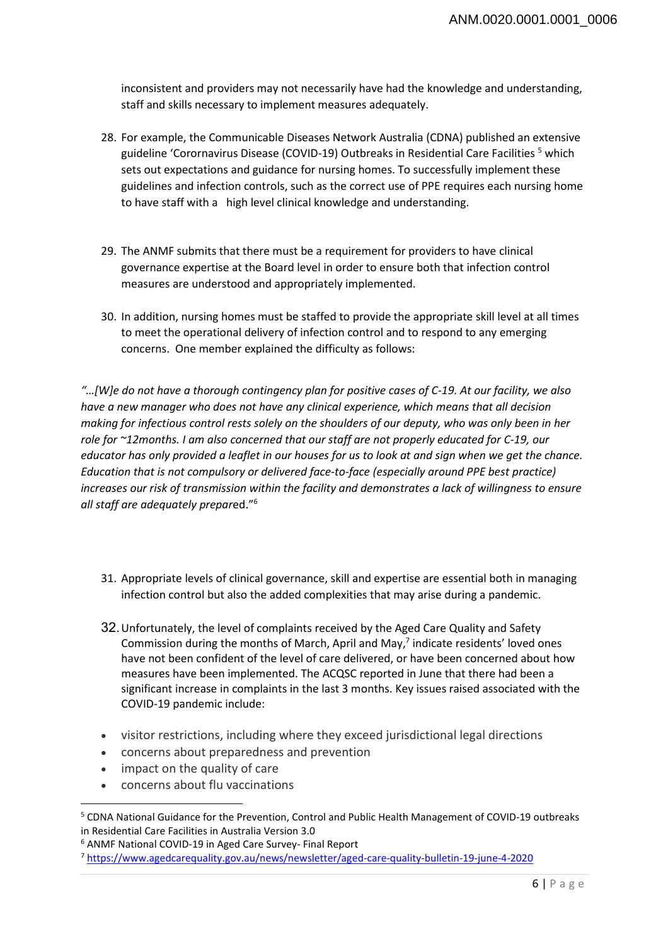inconsistent and providers may not necessarily have had the knowledge and understanding, staff and skills necessary to implement measures adequately.

- 28. For example, the Communicable Diseases Network Australia (CDNA) published an extensive guideline 'Corornavirus Disease (COVID-19) Outbreaks in Residential Care Facilities <sup>5</sup> which sets out expectations and guidance for nursing homes. To successfully implement these guidelines and infection controls, such as the correct use of PPE requires each nursing home to have staff with a high level clinical knowledge and understanding.
- 29. The ANMF submits that there must be a requirement for providers to have clinical governance expertise at the Board level in order to ensure both that infection control measures are understood and appropriately implemented.
- 30. In addition, nursing homes must be staffed to provide the appropriate skill level at all times to meet the operational delivery of infection control and to respond to any emerging concerns. One member explained the difficulty as follows:

*"…[W]e do not have a thorough contingency plan for positive cases of C-19. At our facility, we also have a new manager who does not have any clinical experience, which means that all decision making for infectious control rests solely on the shoulders of our deputy, who was only been in her role for ~12months. I am also concerned that our staff are not properly educated for C-19, our educator has only provided a leaflet in our houses for us to look at and sign when we get the chance. Education that is not compulsory or delivered face-to-face (especially around PPE best practice) increases our risk of transmission within the facility and demonstrates a lack of willingness to ensure all staff are adequately prepar*ed."6

- 31. Appropriate levels of clinical governance, skill and expertise are essential both in managing infection control but also the added complexities that may arise during a pandemic.
- 32. Unfortunately, the level of complaints received by the Aged Care Quality and Safety Commission during the months of March, April and May,<sup>7</sup> indicate residents' loved ones have not been confident of the level of care delivered, or have been concerned about how measures have been implemented. The ACQSC reported in June that there had been a significant increase in complaints in the last 3 months. Key issues raised associated with the COVID-19 pandemic include:
- visitor restrictions, including where they exceed jurisdictional legal directions
- concerns about preparedness and prevention
- impact on the quality of care

 $\overline{\phantom{a}}$ 

• concerns about flu vaccinations

<sup>&</sup>lt;sup>5</sup> CDNA National Guidance for the Prevention, Control and Public Health Management of COVID-19 outbreaks in Residential Care Facilities in Australia Version 3.0

<sup>6</sup> ANMF National COVID-19 in Aged Care Survey- Final Report

<sup>7</sup> https://www.agedcarequality.gov.au/news/newsletter/aged-care-quality-bulletin-19-june-4-2020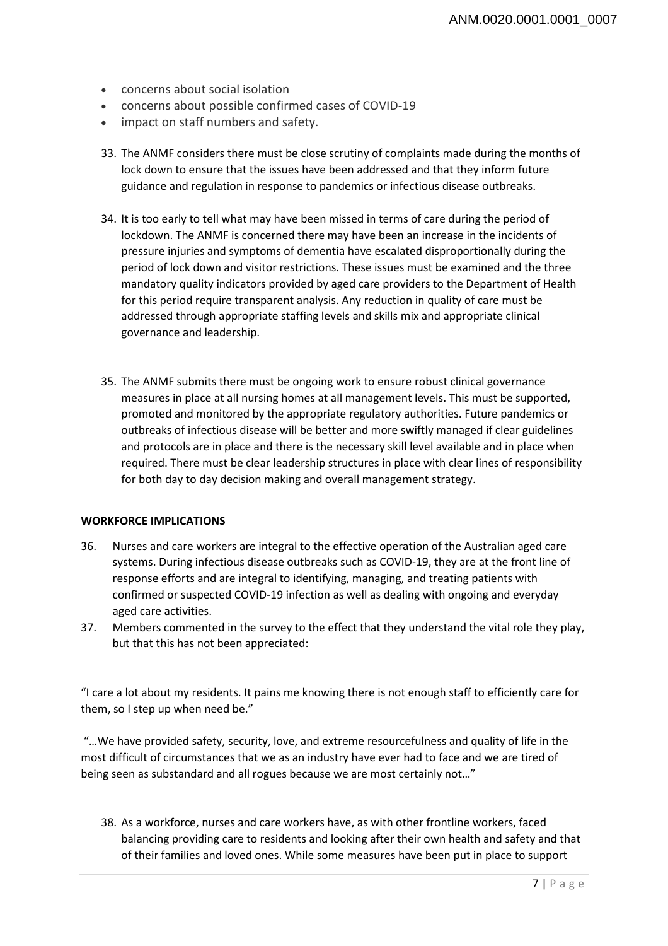- concerns about social isolation
- concerns about possible confirmed cases of COVID-19
- impact on staff numbers and safety.
- 33. The ANMF considers there must be close scrutiny of complaints made during the months of lock down to ensure that the issues have been addressed and that they inform future guidance and regulation in response to pandemics or infectious disease outbreaks.
- 34. It is too early to tell what may have been missed in terms of care during the period of lockdown. The ANMF is concerned there may have been an increase in the incidents of pressure injuries and symptoms of dementia have escalated disproportionally during the period of lock down and visitor restrictions. These issues must be examined and the three mandatory quality indicators provided by aged care providers to the Department of Health for this period require transparent analysis. Any reduction in quality of care must be addressed through appropriate staffing levels and skills mix and appropriate clinical governance and leadership.
- 35. The ANMF submits there must be ongoing work to ensure robust clinical governance measures in place at all nursing homes at all management levels. This must be supported, promoted and monitored by the appropriate regulatory authorities. Future pandemics or outbreaks of infectious disease will be better and more swiftly managed if clear guidelines and protocols are in place and there is the necessary skill level available and in place when required. There must be clear leadership structures in place with clear lines of responsibility for both day to day decision making and overall management strategy.

# **WORKFORCE IMPLICATIONS**

- 36. Nurses and care workers are integral to the effective operation of the Australian aged care systems. During infectious disease outbreaks such as COVID-19, they are at the front line of response efforts and are integral to identifying, managing, and treating patients with confirmed or suspected COVID-19 infection as well as dealing with ongoing and everyday aged care activities.
- 37. Members commented in the survey to the effect that they understand the vital role they play, but that this has not been appreciated:

"I care a lot about my residents. It pains me knowing there is not enough staff to efficiently care for them, so I step up when need be."

 "…We have provided safety, security, love, and extreme resourcefulness and quality of life in the most difficult of circumstances that we as an industry have ever had to face and we are tired of being seen as substandard and all rogues because we are most certainly not..."

38. As a workforce, nurses and care workers have, as with other frontline workers, faced balancing providing care to residents and looking after their own health and safety and that of their families and loved ones. While some measures have been put in place to support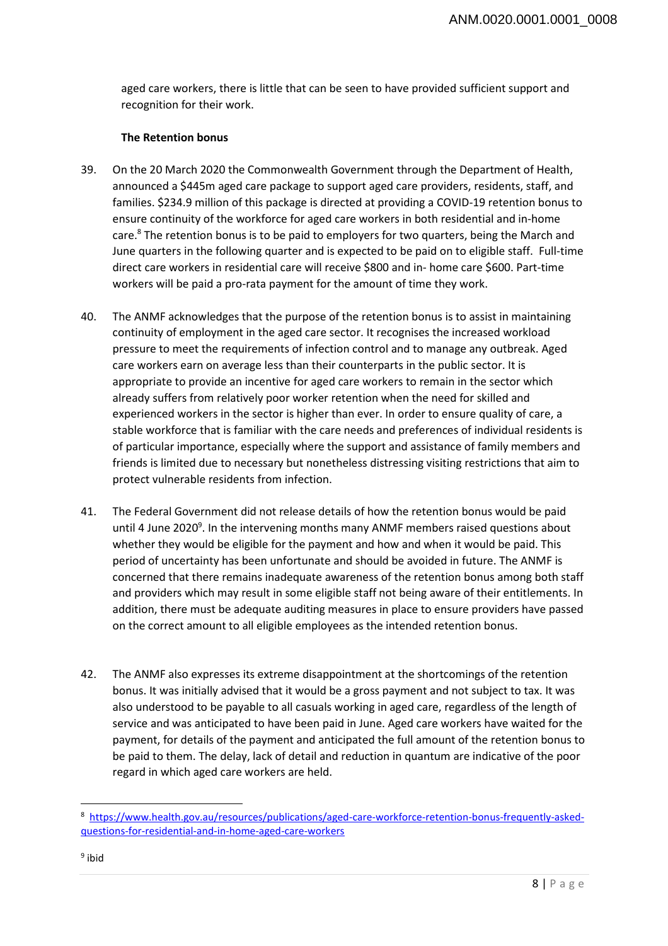aged care workers, there is little that can be seen to have provided sufficient support and recognition for their work.

#### **The Retention bonus**

- 39. On the 20 March 2020 the Commonwealth Government through the Department of Health, announced a \$445m aged care package to support aged care providers, residents, staff, and families. \$234.9 million of this package is directed at providing a COVID-19 retention bonus to ensure continuity of the workforce for aged care workers in both residential and in-home care.<sup>8</sup> The retention bonus is to be paid to employers for two quarters, being the March and June quarters in the following quarter and is expected to be paid on to eligible staff. Full-time direct care workers in residential care will receive \$800 and in- home care \$600. Part-time workers will be paid a pro-rata payment for the amount of time they work.
- 40. The ANMF acknowledges that the purpose of the retention bonus is to assist in maintaining continuity of employment in the aged care sector. It recognises the increased workload pressure to meet the requirements of infection control and to manage any outbreak. Aged care workers earn on average less than their counterparts in the public sector. It is appropriate to provide an incentive for aged care workers to remain in the sector which already suffers from relatively poor worker retention when the need for skilled and experienced workers in the sector is higher than ever. In order to ensure quality of care, a stable workforce that is familiar with the care needs and preferences of individual residents is of particular importance, especially where the support and assistance of family members and friends is limited due to necessary but nonetheless distressing visiting restrictions that aim to protect vulnerable residents from infection.
- 41. The Federal Government did not release details of how the retention bonus would be paid until 4 June 2020<sup>9</sup>. In the intervening months many ANMF members raised questions about whether they would be eligible for the payment and how and when it would be paid. This period of uncertainty has been unfortunate and should be avoided in future. The ANMF is concerned that there remains inadequate awareness of the retention bonus among both staff and providers which may result in some eligible staff not being aware of their entitlements. In addition, there must be adequate auditing measures in place to ensure providers have passed on the correct amount to all eligible employees as the intended retention bonus.
- 42. The ANMF also expresses its extreme disappointment at the shortcomings of the retention bonus. It was initially advised that it would be a gross payment and not subject to tax. It was also understood to be payable to all casuals working in aged care, regardless of the length of service and was anticipated to have been paid in June. Aged care workers have waited for the payment, for details of the payment and anticipated the full amount of the retention bonus to be paid to them. The delay, lack of detail and reduction in quantum are indicative of the poor regard in which aged care workers are held.

 $\overline{\phantom{a}}$ 

<sup>&</sup>lt;sup>8</sup> https://www.health.gov.au/resources/publications/aged-care-workforce-retention-bonus-frequently-askedquestions-for-residential-and-in-home-aged-care-workers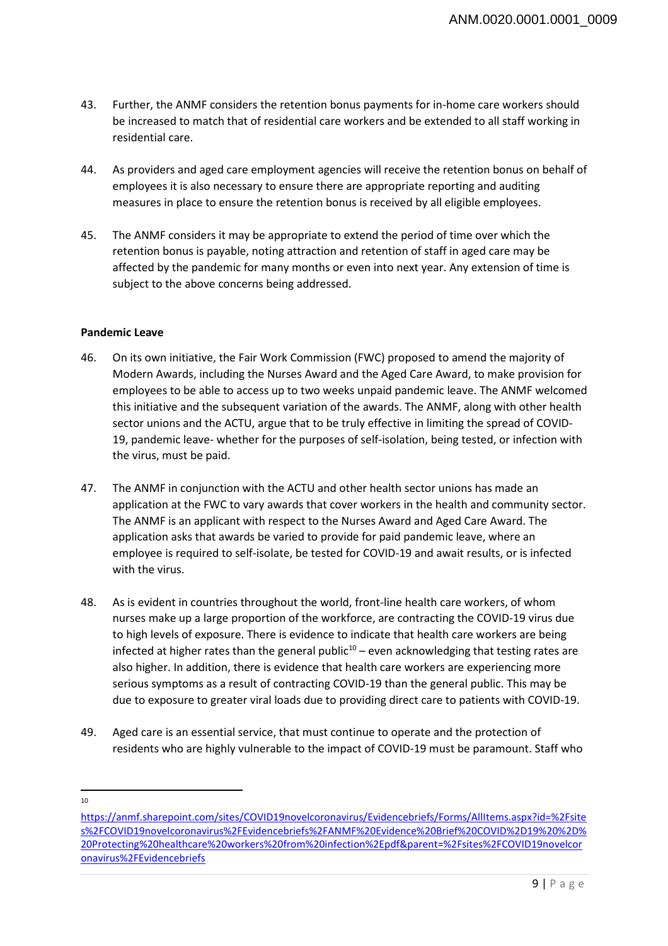- 43. Further, the ANMF considers the retention bonus payments for in-home care workers should be increased to match that of residential care workers and be extended to all staff working in residential care.
- 44. As providers and aged care employment agencies will receive the retention bonus on behalf of employees it is also necessary to ensure there are appropriate reporting and auditing measures in place to ensure the retention bonus is received by all eligible employees.
- 45. The ANMF considers it may be appropriate to extend the period of time over which the retention bonus is payable, noting attraction and retention of staff in aged care may be affected by the pandemic for many months or even into next year. Any extension of time is subject to the above concerns being addressed.

# **Pandemic Leave**

- 46. On its own initiative, the Fair Work Commission (FWC) proposed to amend the majority of Modern Awards, including the Nurses Award and the Aged Care Award, to make provision for employees to be able to access up to two weeks unpaid pandemic leave. The ANMF welcomed this initiative and the subsequent variation of the awards. The ANMF, along with other health sector unions and the ACTU, argue that to be truly effective in limiting the spread of COVID-19, pandemic leave- whether for the purposes of self-isolation, being tested, or infection with the virus, must be paid.
- 47. The ANMF in conjunction with the ACTU and other health sector unions has made an application at the FWC to vary awards that cover workers in the health and community sector. The ANMF is an applicant with respect to the Nurses Award and Aged Care Award. The application asks that awards be varied to provide for paid pandemic leave, where an employee is required to self-isolate, be tested for COVID-19 and await results, or is infected with the virus.
- 48. As is evident in countries throughout the world, front-line health care workers, of whom nurses make up a large proportion of the workforce, are contracting the COVID-19 virus due to high levels of exposure. There is evidence to indicate that health care workers are being infected at higher rates than the general public<sup>10</sup> – even acknowledging that testing rates are also higher. In addition, there is evidence that health care workers are experiencing more serious symptoms as a result of contracting COVID-19 than the general public. This may be due to exposure to greater viral loads due to providing direct care to patients with COVID-19.
- 49. Aged care is an essential service, that must continue to operate and the protection of residents who are highly vulnerable to the impact of COVID-19 must be paramount. Staff who
- $\overline{\phantom{a}}$ 10

https://anmf.sharepoint.com/sites/COVID19novelcoronavirus/Evidencebriefs/Forms/AllItems.aspx?id=%2Fsite s%2FCOVID19novelcoronavirus%2FEvidencebriefs%2FANMF%20Evidence%20Brief%20COVID%2D19%20%2D% 20Protecting%20healthcare%20workers%20from%20infection%2Epdf&parent=%2Fsites%2FCOVID19novelcor onavirus%2FEvidencebriefs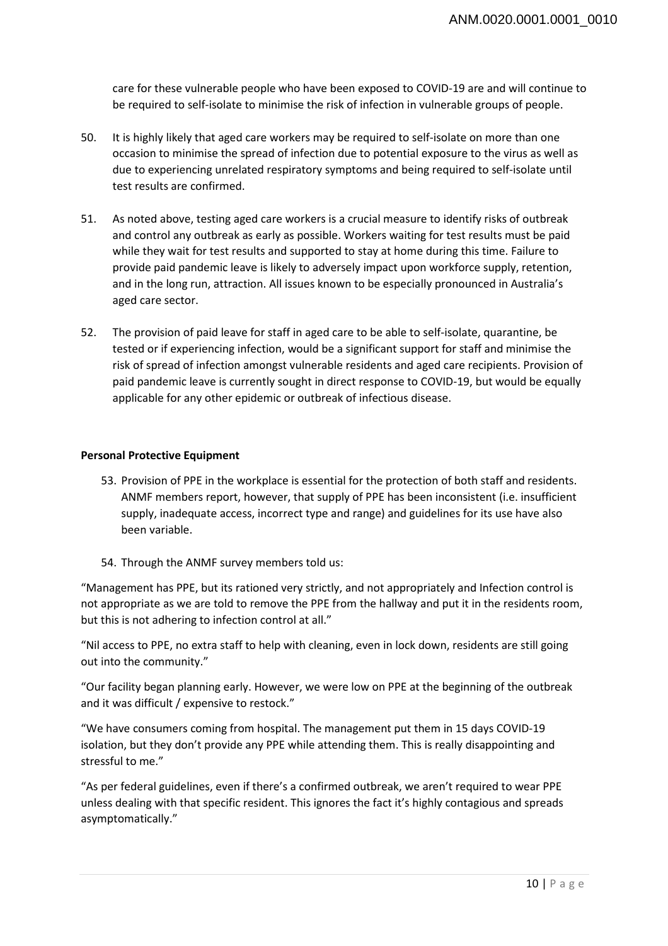care for these vulnerable people who have been exposed to COVID-19 are and will continue to be required to self-isolate to minimise the risk of infection in vulnerable groups of people.

- 50. It is highly likely that aged care workers may be required to self-isolate on more than one occasion to minimise the spread of infection due to potential exposure to the virus as well as due to experiencing unrelated respiratory symptoms and being required to self-isolate until test results are confirmed.
- 51. As noted above, testing aged care workers is a crucial measure to identify risks of outbreak and control any outbreak as early as possible. Workers waiting for test results must be paid while they wait for test results and supported to stay at home during this time. Failure to provide paid pandemic leave is likely to adversely impact upon workforce supply, retention, and in the long run, attraction. All issues known to be especially pronounced in Australia's aged care sector.
- 52. The provision of paid leave for staff in aged care to be able to self-isolate, quarantine, be tested or if experiencing infection, would be a significant support for staff and minimise the risk of spread of infection amongst vulnerable residents and aged care recipients. Provision of paid pandemic leave is currently sought in direct response to COVID-19, but would be equally applicable for any other epidemic or outbreak of infectious disease.

#### **Personal Protective Equipment**

- 53. Provision of PPE in the workplace is essential for the protection of both staff and residents. ANMF members report, however, that supply of PPE has been inconsistent (i.e. insufficient supply, inadequate access, incorrect type and range) and guidelines for its use have also been variable.
- 54. Through the ANMF survey members told us:

"Management has PPE, but its rationed very strictly, and not appropriately and Infection control is not appropriate as we are told to remove the PPE from the hallway and put it in the residents room, but this is not adhering to infection control at all."

"Nil access to PPE, no extra staff to help with cleaning, even in lock down, residents are still going out into the community."

"Our facility began planning early. However, we were low on PPE at the beginning of the outbreak and it was difficult / expensive to restock."

"We have consumers coming from hospital. The management put them in 15 days COVID-19 isolation, but they don't provide any PPE while attending them. This is really disappointing and stressful to me."

"As per federal guidelines, even if there's a confirmed outbreak, we aren't required to wear PPE unless dealing with that specific resident. This ignores the fact it's highly contagious and spreads asymptomatically."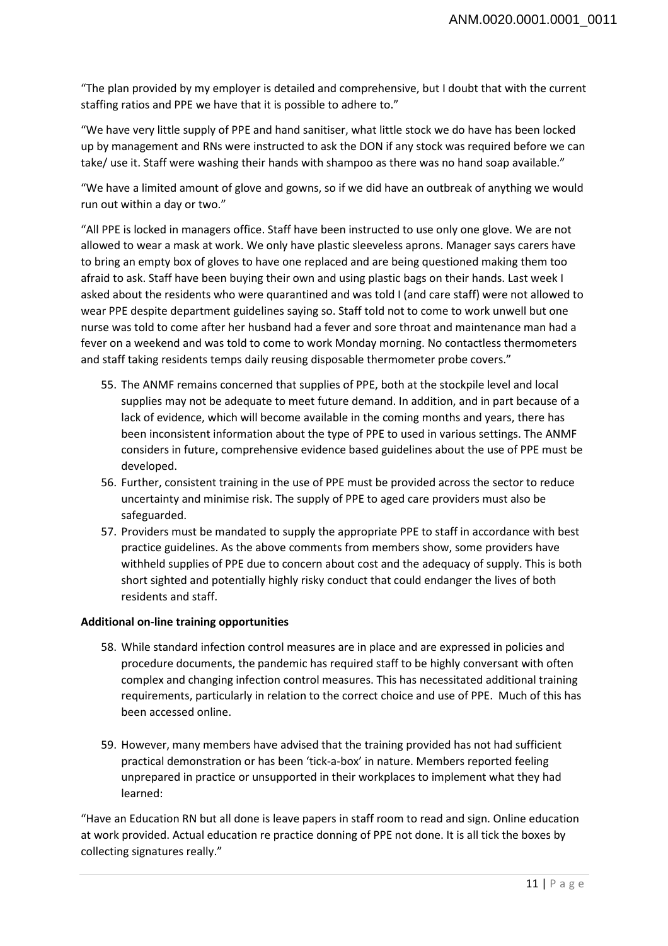"The plan provided by my employer is detailed and comprehensive, but I doubt that with the current staffing ratios and PPE we have that it is possible to adhere to."

"We have very little supply of PPE and hand sanitiser, what little stock we do have has been locked up by management and RNs were instructed to ask the DON if any stock was required before we can take/ use it. Staff were washing their hands with shampoo as there was no hand soap available."

"We have a limited amount of glove and gowns, so if we did have an outbreak of anything we would run out within a day or two."

"All PPE is locked in managers office. Staff have been instructed to use only one glove. We are not allowed to wear a mask at work. We only have plastic sleeveless aprons. Manager says carers have to bring an empty box of gloves to have one replaced and are being questioned making them too afraid to ask. Staff have been buying their own and using plastic bags on their hands. Last week I asked about the residents who were quarantined and was told I (and care staff) were not allowed to wear PPE despite department guidelines saying so. Staff told not to come to work unwell but one nurse was told to come after her husband had a fever and sore throat and maintenance man had a fever on a weekend and was told to come to work Monday morning. No contactless thermometers and staff taking residents temps daily reusing disposable thermometer probe covers."

- 55. The ANMF remains concerned that supplies of PPE, both at the stockpile level and local supplies may not be adequate to meet future demand. In addition, and in part because of a lack of evidence, which will become available in the coming months and years, there has been inconsistent information about the type of PPE to used in various settings. The ANMF considers in future, comprehensive evidence based guidelines about the use of PPE must be developed.
- 56. Further, consistent training in the use of PPE must be provided across the sector to reduce uncertainty and minimise risk. The supply of PPE to aged care providers must also be safeguarded.
- 57. Providers must be mandated to supply the appropriate PPE to staff in accordance with best practice guidelines. As the above comments from members show, some providers have withheld supplies of PPE due to concern about cost and the adequacy of supply. This is both short sighted and potentially highly risky conduct that could endanger the lives of both residents and staff.

# **Additional on-line training opportunities**

- 58. While standard infection control measures are in place and are expressed in policies and procedure documents, the pandemic has required staff to be highly conversant with often complex and changing infection control measures. This has necessitated additional training requirements, particularly in relation to the correct choice and use of PPE. Much of this has been accessed online.
- 59. However, many members have advised that the training provided has not had sufficient practical demonstration or has been 'tick-a-box' in nature. Members reported feeling unprepared in practice or unsupported in their workplaces to implement what they had learned:

"Have an Education RN but all done is leave papers in staff room to read and sign. Online education at work provided. Actual education re practice donning of PPE not done. It is all tick the boxes by collecting signatures really."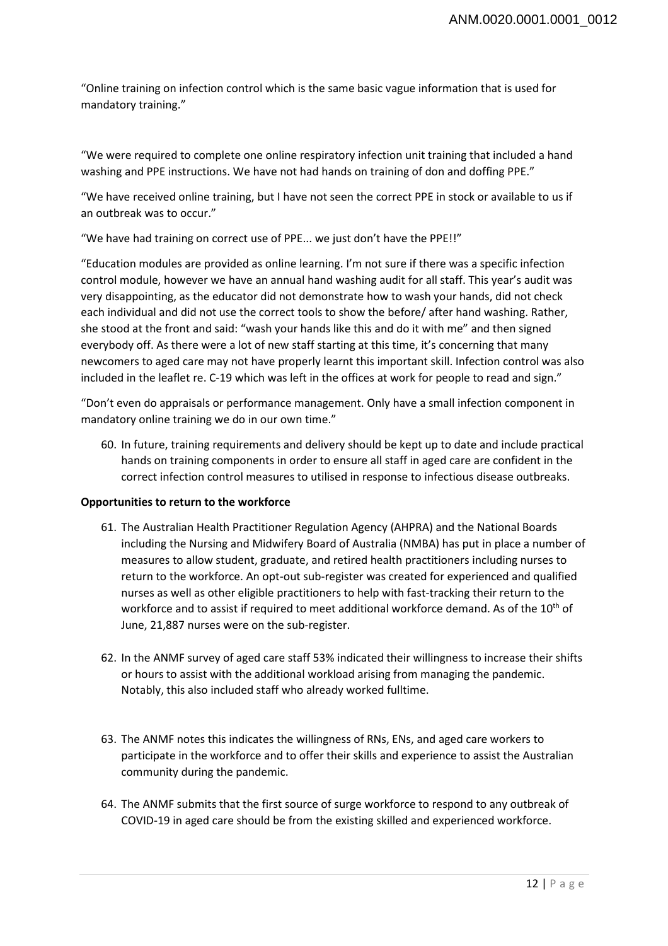"Online training on infection control which is the same basic vague information that is used for mandatory training."

"We were required to complete one online respiratory infection unit training that included a hand washing and PPE instructions. We have not had hands on training of don and doffing PPE."

"We have received online training, but I have not seen the correct PPE in stock or available to us if an outbreak was to occur."

"We have had training on correct use of PPE... we just don't have the PPE!!"

"Education modules are provided as online learning. I'm not sure if there was a specific infection control module, however we have an annual hand washing audit for all staff. This year's audit was very disappointing, as the educator did not demonstrate how to wash your hands, did not check each individual and did not use the correct tools to show the before/ after hand washing. Rather, she stood at the front and said: "wash your hands like this and do it with me" and then signed everybody off. As there were a lot of new staff starting at this time, it's concerning that many newcomers to aged care may not have properly learnt this important skill. Infection control was also included in the leaflet re. C-19 which was left in the offices at work for people to read and sign."

"Don't even do appraisals or performance management. Only have a small infection component in mandatory online training we do in our own time."

60. In future, training requirements and delivery should be kept up to date and include practical hands on training components in order to ensure all staff in aged care are confident in the correct infection control measures to utilised in response to infectious disease outbreaks.

# **Opportunities to return to the workforce**

- 61. The Australian Health Practitioner Regulation Agency (AHPRA) and the National Boards including the Nursing and Midwifery Board of Australia (NMBA) has put in place a number of measures to allow student, graduate, and retired health practitioners including nurses to return to the workforce. An opt-out sub-register was created for experienced and qualified nurses as well as other eligible practitioners to help with fast-tracking their return to the workforce and to assist if required to meet additional workforce demand. As of the 10<sup>th</sup> of June, 21,887 nurses were on the sub-register.
- 62. In the ANMF survey of aged care staff 53% indicated their willingness to increase their shifts or hours to assist with the additional workload arising from managing the pandemic. Notably, this also included staff who already worked fulltime.
- 63. The ANMF notes this indicates the willingness of RNs, ENs, and aged care workers to participate in the workforce and to offer their skills and experience to assist the Australian community during the pandemic.
- 64. The ANMF submits that the first source of surge workforce to respond to any outbreak of COVID-19 in aged care should be from the existing skilled and experienced workforce.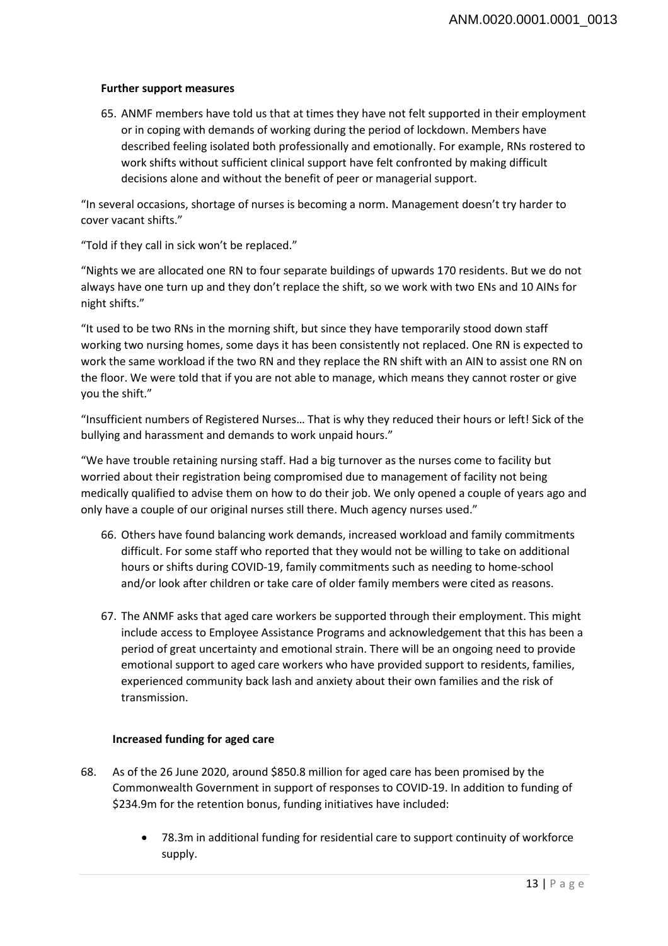#### **Further support measures**

65. ANMF members have told us that at times they have not felt supported in their employment or in coping with demands of working during the period of lockdown. Members have described feeling isolated both professionally and emotionally. For example, RNs rostered to work shifts without sufficient clinical support have felt confronted by making difficult decisions alone and without the benefit of peer or managerial support.

"In several occasions, shortage of nurses is becoming a norm. Management doesn't try harder to cover vacant shifts."

"Told if they call in sick won't be replaced."

"Nights we are allocated one RN to four separate buildings of upwards 170 residents. But we do not always have one turn up and they don't replace the shift, so we work with two ENs and 10 AINs for night shifts."

"It used to be two RNs in the morning shift, but since they have temporarily stood down staff working two nursing homes, some days it has been consistently not replaced. One RN is expected to work the same workload if the two RN and they replace the RN shift with an AIN to assist one RN on the floor. We were told that if you are not able to manage, which means they cannot roster or give you the shift."

"Insufficient numbers of Registered Nurses… That is why they reduced their hours or left! Sick of the bullying and harassment and demands to work unpaid hours."

"We have trouble retaining nursing staff. Had a big turnover as the nurses come to facility but worried about their registration being compromised due to management of facility not being medically qualified to advise them on how to do their job. We only opened a couple of years ago and only have a couple of our original nurses still there. Much agency nurses used."

- 66. Others have found balancing work demands, increased workload and family commitments difficult. For some staff who reported that they would not be willing to take on additional hours or shifts during COVID-19, family commitments such as needing to home-school and/or look after children or take care of older family members were cited as reasons.
- 67. The ANMF asks that aged care workers be supported through their employment. This might include access to Employee Assistance Programs and acknowledgement that this has been a period of great uncertainty and emotional strain. There will be an ongoing need to provide emotional support to aged care workers who have provided support to residents, families, experienced community back lash and anxiety about their own families and the risk of transmission.

# **Increased funding for aged care**

- 68. As of the 26 June 2020, around \$850.8 million for aged care has been promised by the Commonwealth Government in support of responses to COVID-19. In addition to funding of \$234.9m for the retention bonus, funding initiatives have included:
	- 78.3m in additional funding for residential care to support continuity of workforce supply.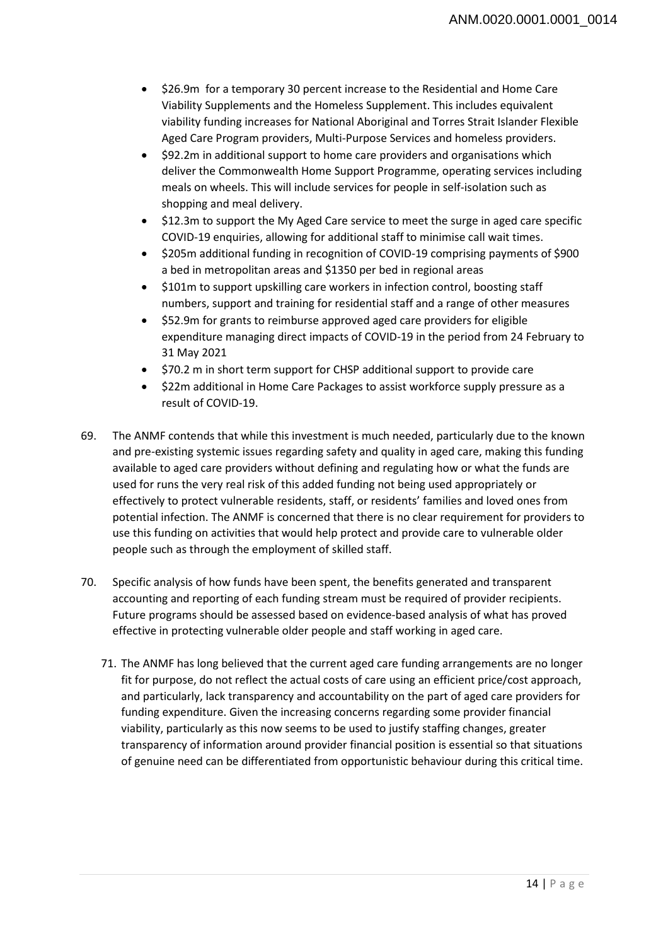- \$26.9m for a temporary 30 percent increase to the Residential and Home Care Viability Supplements and the Homeless Supplement. This includes equivalent viability funding increases for National Aboriginal and Torres Strait Islander Flexible Aged Care Program providers, Multi-Purpose Services and homeless providers.
- \$92.2m in additional support to home care providers and organisations which deliver the Commonwealth Home Support Programme, operating services including meals on wheels. This will include services for people in self-isolation such as shopping and meal delivery.
- \$12.3m to support the My Aged Care service to meet the surge in aged care specific COVID-19 enquiries, allowing for additional staff to minimise call wait times.
- \$205m additional funding in recognition of COVID-19 comprising payments of \$900 a bed in metropolitan areas and \$1350 per bed in regional areas
- \$101m to support upskilling care workers in infection control, boosting staff numbers, support and training for residential staff and a range of other measures
- \$52.9m for grants to reimburse approved aged care providers for eligible expenditure managing direct impacts of COVID-19 in the period from 24 February to 31 May 2021
- \$70.2 m in short term support for CHSP additional support to provide care
- \$22m additional in Home Care Packages to assist workforce supply pressure as a result of COVID-19.
- 69. The ANMF contends that while this investment is much needed, particularly due to the known and pre-existing systemic issues regarding safety and quality in aged care, making this funding available to aged care providers without defining and regulating how or what the funds are used for runs the very real risk of this added funding not being used appropriately or effectively to protect vulnerable residents, staff, or residents' families and loved ones from potential infection. The ANMF is concerned that there is no clear requirement for providers to use this funding on activities that would help protect and provide care to vulnerable older people such as through the employment of skilled staff.
- 70. Specific analysis of how funds have been spent, the benefits generated and transparent accounting and reporting of each funding stream must be required of provider recipients. Future programs should be assessed based on evidence-based analysis of what has proved effective in protecting vulnerable older people and staff working in aged care.
	- 71. The ANMF has long believed that the current aged care funding arrangements are no longer fit for purpose, do not reflect the actual costs of care using an efficient price/cost approach, and particularly, lack transparency and accountability on the part of aged care providers for funding expenditure. Given the increasing concerns regarding some provider financial viability, particularly as this now seems to be used to justify staffing changes, greater transparency of information around provider financial position is essential so that situations of genuine need can be differentiated from opportunistic behaviour during this critical time.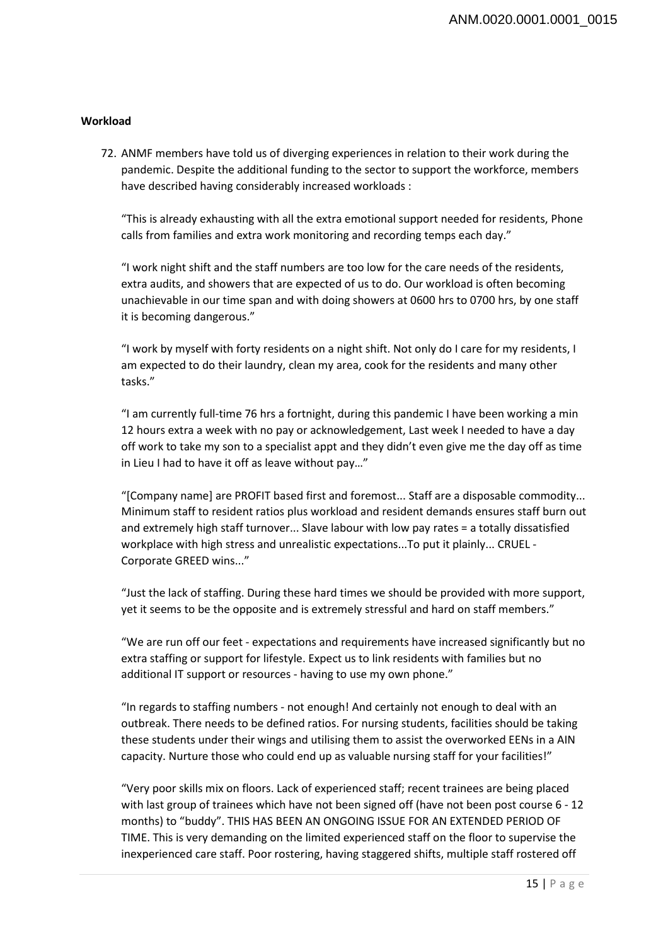# **Workload**

72. ANMF members have told us of diverging experiences in relation to their work during the pandemic. Despite the additional funding to the sector to support the workforce, members have described having considerably increased workloads :

"This is already exhausting with all the extra emotional support needed for residents, Phone calls from families and extra work monitoring and recording temps each day."

"I work night shift and the staff numbers are too low for the care needs of the residents, extra audits, and showers that are expected of us to do. Our workload is often becoming unachievable in our time span and with doing showers at 0600 hrs to 0700 hrs, by one staff it is becoming dangerous."

"I work by myself with forty residents on a night shift. Not only do I care for my residents, I am expected to do their laundry, clean my area, cook for the residents and many other tasks."

"I am currently full-time 76 hrs a fortnight, during this pandemic I have been working a min 12 hours extra a week with no pay or acknowledgement, Last week I needed to have a day off work to take my son to a specialist appt and they didn't even give me the day off as time in Lieu I had to have it off as leave without pay…"

"[Company name] are PROFIT based first and foremost... Staff are a disposable commodity... Minimum staff to resident ratios plus workload and resident demands ensures staff burn out and extremely high staff turnover... Slave labour with low pay rates = a totally dissatisfied workplace with high stress and unrealistic expectations...To put it plainly... CRUEL - Corporate GREED wins..."

"Just the lack of staffing. During these hard times we should be provided with more support, yet it seems to be the opposite and is extremely stressful and hard on staff members."

"We are run off our feet - expectations and requirements have increased significantly but no extra staffing or support for lifestyle. Expect us to link residents with families but no additional IT support or resources - having to use my own phone."

"In regards to staffing numbers - not enough! And certainly not enough to deal with an outbreak. There needs to be defined ratios. For nursing students, facilities should be taking these students under their wings and utilising them to assist the overworked EENs in a AIN capacity. Nurture those who could end up as valuable nursing staff for your facilities!"

"Very poor skills mix on floors. Lack of experienced staff; recent trainees are being placed with last group of trainees which have not been signed off (have not been post course 6 - 12 months) to "buddy". THIS HAS BEEN AN ONGOING ISSUE FOR AN EXTENDED PERIOD OF TIME. This is very demanding on the limited experienced staff on the floor to supervise the inexperienced care staff. Poor rostering, having staggered shifts, multiple staff rostered off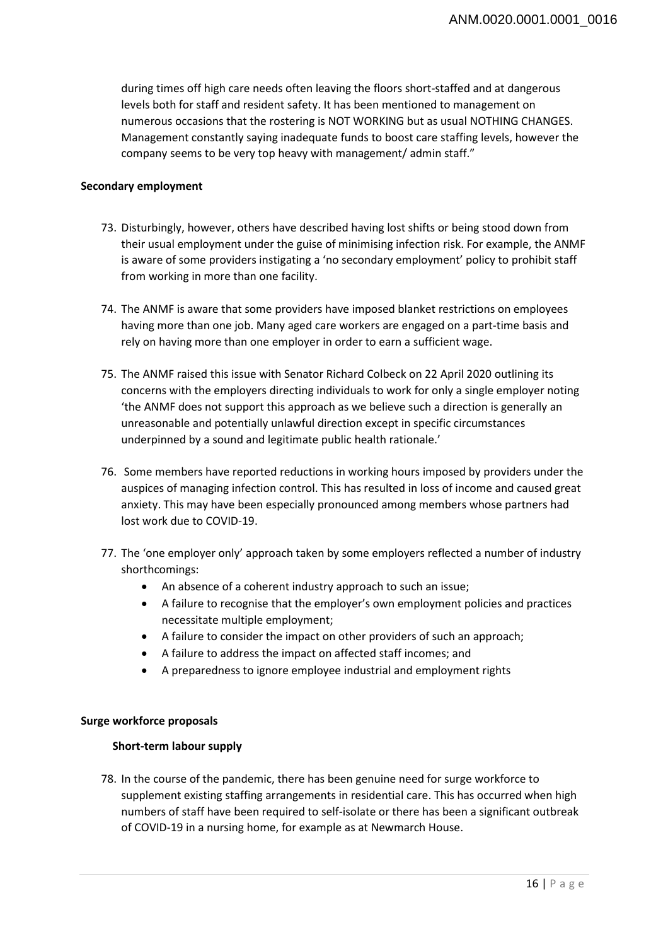during times off high care needs often leaving the floors short-staffed and at dangerous levels both for staff and resident safety. It has been mentioned to management on numerous occasions that the rostering is NOT WORKING but as usual NOTHING CHANGES. Management constantly saying inadequate funds to boost care staffing levels, however the company seems to be very top heavy with management/ admin staff."

#### **Secondary employment**

- 73. Disturbingly, however, others have described having lost shifts or being stood down from their usual employment under the guise of minimising infection risk. For example, the ANMF is aware of some providers instigating a 'no secondary employment' policy to prohibit staff from working in more than one facility.
- 74. The ANMF is aware that some providers have imposed blanket restrictions on employees having more than one job. Many aged care workers are engaged on a part-time basis and rely on having more than one employer in order to earn a sufficient wage.
- 75. The ANMF raised this issue with Senator Richard Colbeck on 22 April 2020 outlining its concerns with the employers directing individuals to work for only a single employer noting 'the ANMF does not support this approach as we believe such a direction is generally an unreasonable and potentially unlawful direction except in specific circumstances underpinned by a sound and legitimate public health rationale.'
- 76. Some members have reported reductions in working hours imposed by providers under the auspices of managing infection control. This has resulted in loss of income and caused great anxiety. This may have been especially pronounced among members whose partners had lost work due to COVID-19.
- 77. The 'one employer only' approach taken by some employers reflected a number of industry shorthcomings:
	- An absence of a coherent industry approach to such an issue;
	- A failure to recognise that the employer's own employment policies and practices necessitate multiple employment;
	- A failure to consider the impact on other providers of such an approach;
	- A failure to address the impact on affected staff incomes; and
	- A preparedness to ignore employee industrial and employment rights

# **Surge workforce proposals**

# **Short-term labour supply**

78. In the course of the pandemic, there has been genuine need for surge workforce to supplement existing staffing arrangements in residential care. This has occurred when high numbers of staff have been required to self-isolate or there has been a significant outbreak of COVID-19 in a nursing home, for example as at Newmarch House.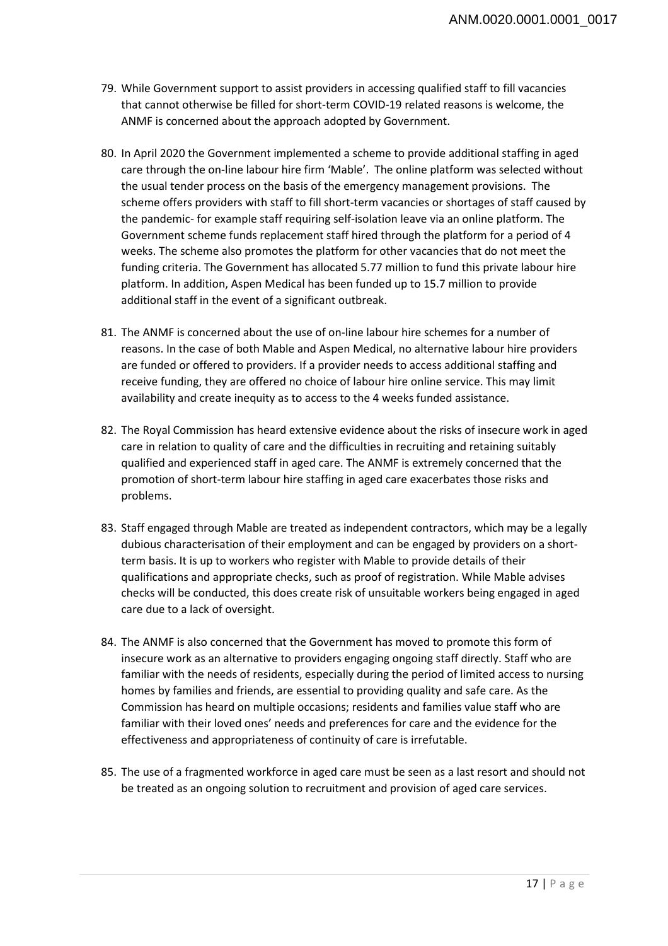- 79. While Government support to assist providers in accessing qualified staff to fill vacancies that cannot otherwise be filled for short-term COVID-19 related reasons is welcome, the ANMF is concerned about the approach adopted by Government.
- 80. In April 2020 the Government implemented a scheme to provide additional staffing in aged care through the on-line labour hire firm 'Mable'. The online platform was selected without the usual tender process on the basis of the emergency management provisions. The scheme offers providers with staff to fill short-term vacancies or shortages of staff caused by the pandemic- for example staff requiring self-isolation leave via an online platform. The Government scheme funds replacement staff hired through the platform for a period of 4 weeks. The scheme also promotes the platform for other vacancies that do not meet the funding criteria. The Government has allocated 5.77 million to fund this private labour hire platform. In addition, Aspen Medical has been funded up to 15.7 million to provide additional staff in the event of a significant outbreak.
- 81. The ANMF is concerned about the use of on-line labour hire schemes for a number of reasons. In the case of both Mable and Aspen Medical, no alternative labour hire providers are funded or offered to providers. If a provider needs to access additional staffing and receive funding, they are offered no choice of labour hire online service. This may limit availability and create inequity as to access to the 4 weeks funded assistance.
- 82. The Royal Commission has heard extensive evidence about the risks of insecure work in aged care in relation to quality of care and the difficulties in recruiting and retaining suitably qualified and experienced staff in aged care. The ANMF is extremely concerned that the promotion of short-term labour hire staffing in aged care exacerbates those risks and problems.
- 83. Staff engaged through Mable are treated as independent contractors, which may be a legally dubious characterisation of their employment and can be engaged by providers on a shortterm basis. It is up to workers who register with Mable to provide details of their qualifications and appropriate checks, such as proof of registration. While Mable advises checks will be conducted, this does create risk of unsuitable workers being engaged in aged care due to a lack of oversight.
- 84. The ANMF is also concerned that the Government has moved to promote this form of insecure work as an alternative to providers engaging ongoing staff directly. Staff who are familiar with the needs of residents, especially during the period of limited access to nursing homes by families and friends, are essential to providing quality and safe care. As the Commission has heard on multiple occasions; residents and families value staff who are familiar with their loved ones' needs and preferences for care and the evidence for the effectiveness and appropriateness of continuity of care is irrefutable.
- 85. The use of a fragmented workforce in aged care must be seen as a last resort and should not be treated as an ongoing solution to recruitment and provision of aged care services.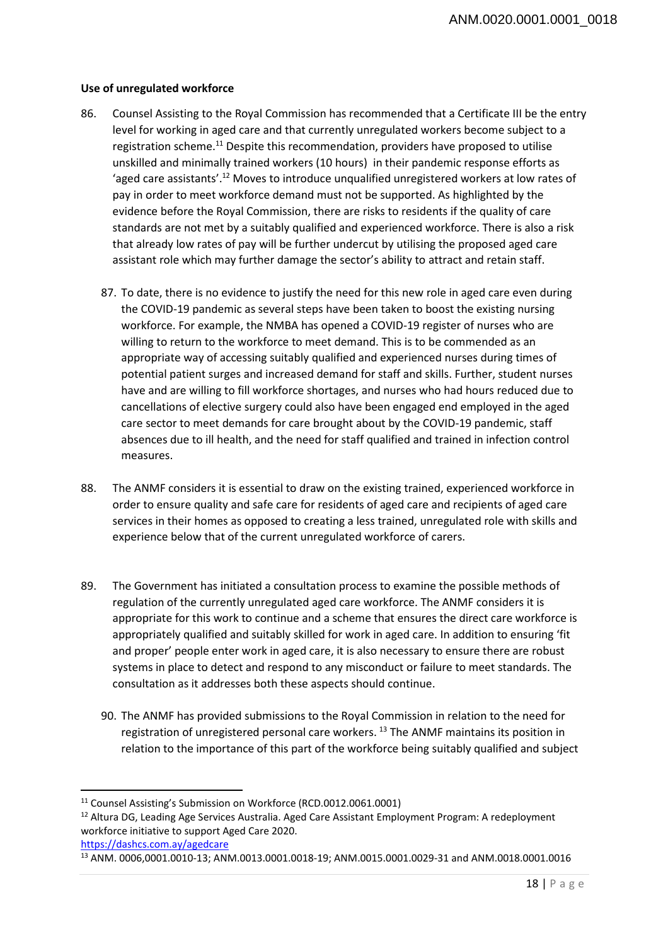# **Use of unregulated workforce**

- 86. Counsel Assisting to the Royal Commission has recommended that a Certificate III be the entry level for working in aged care and that currently unregulated workers become subject to a registration scheme.11 Despite this recommendation, providers have proposed to utilise unskilled and minimally trained workers (10 hours) in their pandemic response efforts as 'aged care assistants'.12 Moves to introduce unqualified unregistered workers at low rates of pay in order to meet workforce demand must not be supported. As highlighted by the evidence before the Royal Commission, there are risks to residents if the quality of care standards are not met by a suitably qualified and experienced workforce. There is also a risk that already low rates of pay will be further undercut by utilising the proposed aged care assistant role which may further damage the sector's ability to attract and retain staff.
	- 87. To date, there is no evidence to justify the need for this new role in aged care even during the COVID-19 pandemic as several steps have been taken to boost the existing nursing workforce. For example, the NMBA has opened a COVID-19 register of nurses who are willing to return to the workforce to meet demand. This is to be commended as an appropriate way of accessing suitably qualified and experienced nurses during times of potential patient surges and increased demand for staff and skills. Further, student nurses have and are willing to fill workforce shortages, and nurses who had hours reduced due to cancellations of elective surgery could also have been engaged end employed in the aged care sector to meet demands for care brought about by the COVID-19 pandemic, staff absences due to ill health, and the need for staff qualified and trained in infection control measures.
- 88. The ANMF considers it is essential to draw on the existing trained, experienced workforce in order to ensure quality and safe care for residents of aged care and recipients of aged care services in their homes as opposed to creating a less trained, unregulated role with skills and experience below that of the current unregulated workforce of carers.
- 89. The Government has initiated a consultation process to examine the possible methods of regulation of the currently unregulated aged care workforce. The ANMF considers it is appropriate for this work to continue and a scheme that ensures the direct care workforce is appropriately qualified and suitably skilled for work in aged care. In addition to ensuring 'fit and proper' people enter work in aged care, it is also necessary to ensure there are robust systems in place to detect and respond to any misconduct or failure to meet standards. The consultation as it addresses both these aspects should continue.
	- 90. The ANMF has provided submissions to the Royal Commission in relation to the need for registration of unregistered personal care workers. 13 The ANMF maintains its position in relation to the importance of this part of the workforce being suitably qualified and subject

 $\overline{\phantom{a}}$ 

<sup>&</sup>lt;sup>11</sup> Counsel Assisting's Submission on Workforce (RCD.0012.0061.0001)<br><sup>12</sup> Altura DG, Leading Age Services Australia. Aged Care Assistant Employment Program: A redeployment workforce initiative to support Aged Care 2020.

https://dashcs.com.ay/agedcare<br><sup>13</sup> ANM. 0006,0001.0010-13; ANM.0013.0001.0018-19; ANM.0015.0001.0029-31 and ANM.0018.0001.0016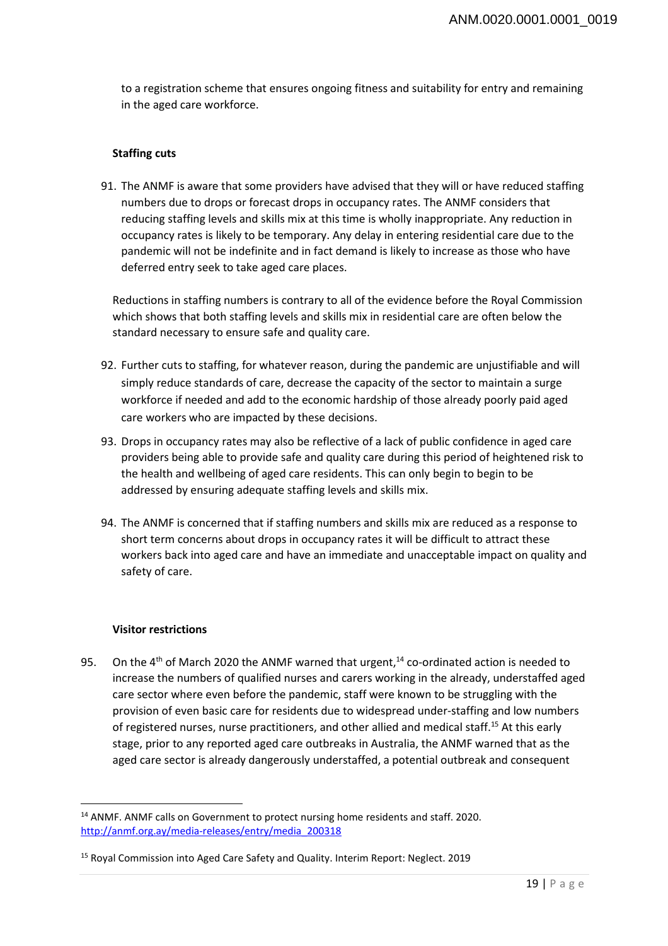to a registration scheme that ensures ongoing fitness and suitability for entry and remaining in the aged care workforce.

#### **Staffing cuts**

91. The ANMF is aware that some providers have advised that they will or have reduced staffing numbers due to drops or forecast drops in occupancy rates. The ANMF considers that reducing staffing levels and skills mix at this time is wholly inappropriate. Any reduction in occupancy rates is likely to be temporary. Any delay in entering residential care due to the pandemic will not be indefinite and in fact demand is likely to increase as those who have deferred entry seek to take aged care places.

Reductions in staffing numbers is contrary to all of the evidence before the Royal Commission which shows that both staffing levels and skills mix in residential care are often below the standard necessary to ensure safe and quality care.

- 92. Further cuts to staffing, for whatever reason, during the pandemic are unjustifiable and will simply reduce standards of care, decrease the capacity of the sector to maintain a surge workforce if needed and add to the economic hardship of those already poorly paid aged care workers who are impacted by these decisions.
- 93. Drops in occupancy rates may also be reflective of a lack of public confidence in aged care providers being able to provide safe and quality care during this period of heightened risk to the health and wellbeing of aged care residents. This can only begin to begin to be addressed by ensuring adequate staffing levels and skills mix.
- 94. The ANMF is concerned that if staffing numbers and skills mix are reduced as a response to short term concerns about drops in occupancy rates it will be difficult to attract these workers back into aged care and have an immediate and unacceptable impact on quality and safety of care.

#### **Visitor restrictions**

 $\overline{\phantom{a}}$ 

95. On the 4<sup>th</sup> of March 2020 the ANMF warned that urgent,<sup>14</sup> co-ordinated action is needed to increase the numbers of qualified nurses and carers working in the already, understaffed aged care sector where even before the pandemic, staff were known to be struggling with the provision of even basic care for residents due to widespread under-staffing and low numbers of registered nurses, nurse practitioners, and other allied and medical staff.<sup>15</sup> At this early stage, prior to any reported aged care outbreaks in Australia, the ANMF warned that as the aged care sector is already dangerously understaffed, a potential outbreak and consequent

<sup>&</sup>lt;sup>14</sup> ANMF. ANMF calls on Government to protect nursing home residents and staff. 2020. http://anmf.org.ay/media-releases/entry/media\_200318

<sup>15</sup> Royal Commission into Aged Care Safety and Quality. Interim Report: Neglect. 2019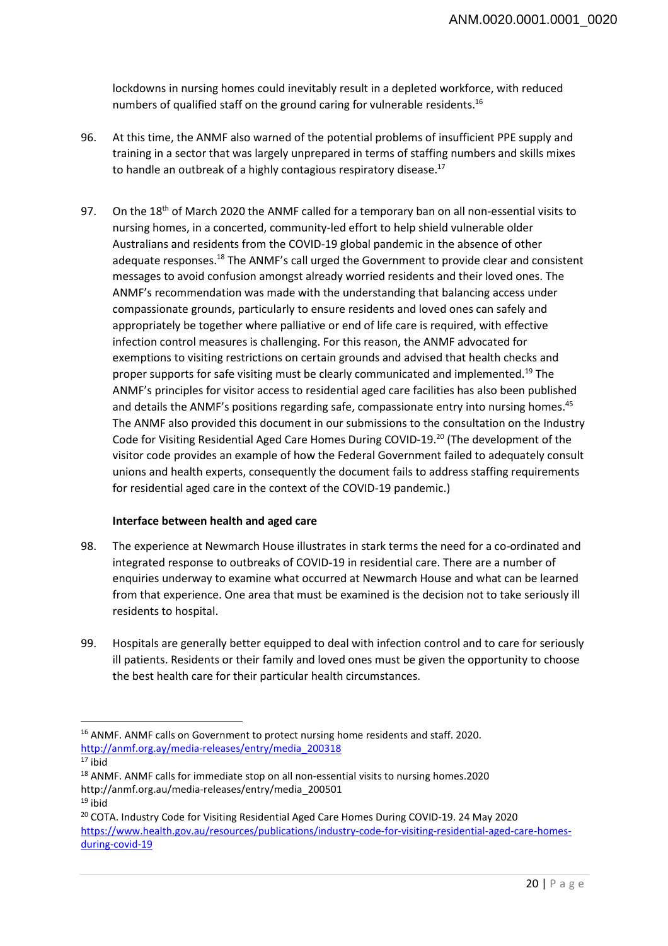lockdowns in nursing homes could inevitably result in a depleted workforce, with reduced numbers of qualified staff on the ground caring for vulnerable residents.16

- 96. At this time, the ANMF also warned of the potential problems of insufficient PPE supply and training in a sector that was largely unprepared in terms of staffing numbers and skills mixes to handle an outbreak of a highly contagious respiratory disease.<sup>17</sup>
- 97. On the 18<sup>th</sup> of March 2020 the ANMF called for a temporary ban on all non-essential visits to nursing homes, in a concerted, community-led effort to help shield vulnerable older Australians and residents from the COVID-19 global pandemic in the absence of other adequate responses.<sup>18</sup> The ANMF's call urged the Government to provide clear and consistent messages to avoid confusion amongst already worried residents and their loved ones. The ANMF's recommendation was made with the understanding that balancing access under compassionate grounds, particularly to ensure residents and loved ones can safely and appropriately be together where palliative or end of life care is required, with effective infection control measures is challenging. For this reason, the ANMF advocated for exemptions to visiting restrictions on certain grounds and advised that health checks and proper supports for safe visiting must be clearly communicated and implemented.19 The ANMF's principles for visitor access to residential aged care facilities has also been published and details the ANMF's positions regarding safe, compassionate entry into nursing homes.<sup>45</sup> The ANMF also provided this document in our submissions to the consultation on the Industry Code for Visiting Residential Aged Care Homes During COVID-19.20 (The development of the visitor code provides an example of how the Federal Government failed to adequately consult unions and health experts, consequently the document fails to address staffing requirements for residential aged care in the context of the COVID-19 pandemic.)

#### **Interface between health and aged care**

- 98. The experience at Newmarch House illustrates in stark terms the need for a co-ordinated and integrated response to outbreaks of COVID-19 in residential care. There are a number of enquiries underway to examine what occurred at Newmarch House and what can be learned from that experience. One area that must be examined is the decision not to take seriously ill residents to hospital.
- 99. Hospitals are generally better equipped to deal with infection control and to care for seriously ill patients. Residents or their family and loved ones must be given the opportunity to choose the best health care for their particular health circumstances.

 $\overline{a}$ 

<sup>16</sup> ANMF. ANMF calls on Government to protect nursing home residents and staff. 2020. http://anmf.org.ay/media-releases/entry/media\_200318

 $17$  ibid

<sup>&</sup>lt;sup>18</sup> ANMF. ANMF calls for immediate stop on all non-essential visits to nursing homes.2020 http://anmf.org.au/media-releases/entry/media\_200501 19 ibid

<sup>&</sup>lt;sup>20</sup> COTA. Industry Code for Visiting Residential Aged Care Homes During COVID-19. 24 May 2020 https://www.health.gov.au/resources/publications/industry-code-for-visiting-residential-aged-care-homesduring-covid-19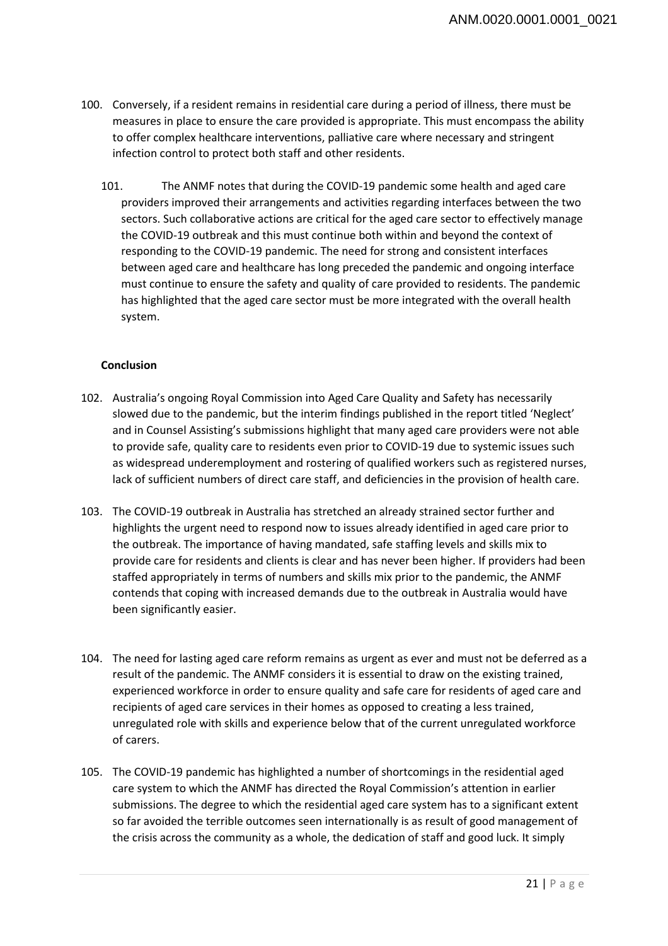- 100. Conversely, if a resident remains in residential care during a period of illness, there must be measures in place to ensure the care provided is appropriate. This must encompass the ability to offer complex healthcare interventions, palliative care where necessary and stringent infection control to protect both staff and other residents.
	- 101. The ANMF notes that during the COVID-19 pandemic some health and aged care providers improved their arrangements and activities regarding interfaces between the two sectors. Such collaborative actions are critical for the aged care sector to effectively manage the COVID-19 outbreak and this must continue both within and beyond the context of responding to the COVID-19 pandemic. The need for strong and consistent interfaces between aged care and healthcare has long preceded the pandemic and ongoing interface must continue to ensure the safety and quality of care provided to residents. The pandemic has highlighted that the aged care sector must be more integrated with the overall health system.

# **Conclusion**

- 102. Australia's ongoing Royal Commission into Aged Care Quality and Safety has necessarily slowed due to the pandemic, but the interim findings published in the report titled 'Neglect' and in Counsel Assisting's submissions highlight that many aged care providers were not able to provide safe, quality care to residents even prior to COVID-19 due to systemic issues such as widespread underemployment and rostering of qualified workers such as registered nurses, lack of sufficient numbers of direct care staff, and deficiencies in the provision of health care.
- 103. The COVID-19 outbreak in Australia has stretched an already strained sector further and highlights the urgent need to respond now to issues already identified in aged care prior to the outbreak. The importance of having mandated, safe staffing levels and skills mix to provide care for residents and clients is clear and has never been higher. If providers had been staffed appropriately in terms of numbers and skills mix prior to the pandemic, the ANMF contends that coping with increased demands due to the outbreak in Australia would have been significantly easier.
- 104. The need for lasting aged care reform remains as urgent as ever and must not be deferred as a result of the pandemic. The ANMF considers it is essential to draw on the existing trained, experienced workforce in order to ensure quality and safe care for residents of aged care and recipients of aged care services in their homes as opposed to creating a less trained, unregulated role with skills and experience below that of the current unregulated workforce of carers.
- 105. The COVID-19 pandemic has highlighted a number of shortcomings in the residential aged care system to which the ANMF has directed the Royal Commission's attention in earlier submissions. The degree to which the residential aged care system has to a significant extent so far avoided the terrible outcomes seen internationally is as result of good management of the crisis across the community as a whole, the dedication of staff and good luck. It simply